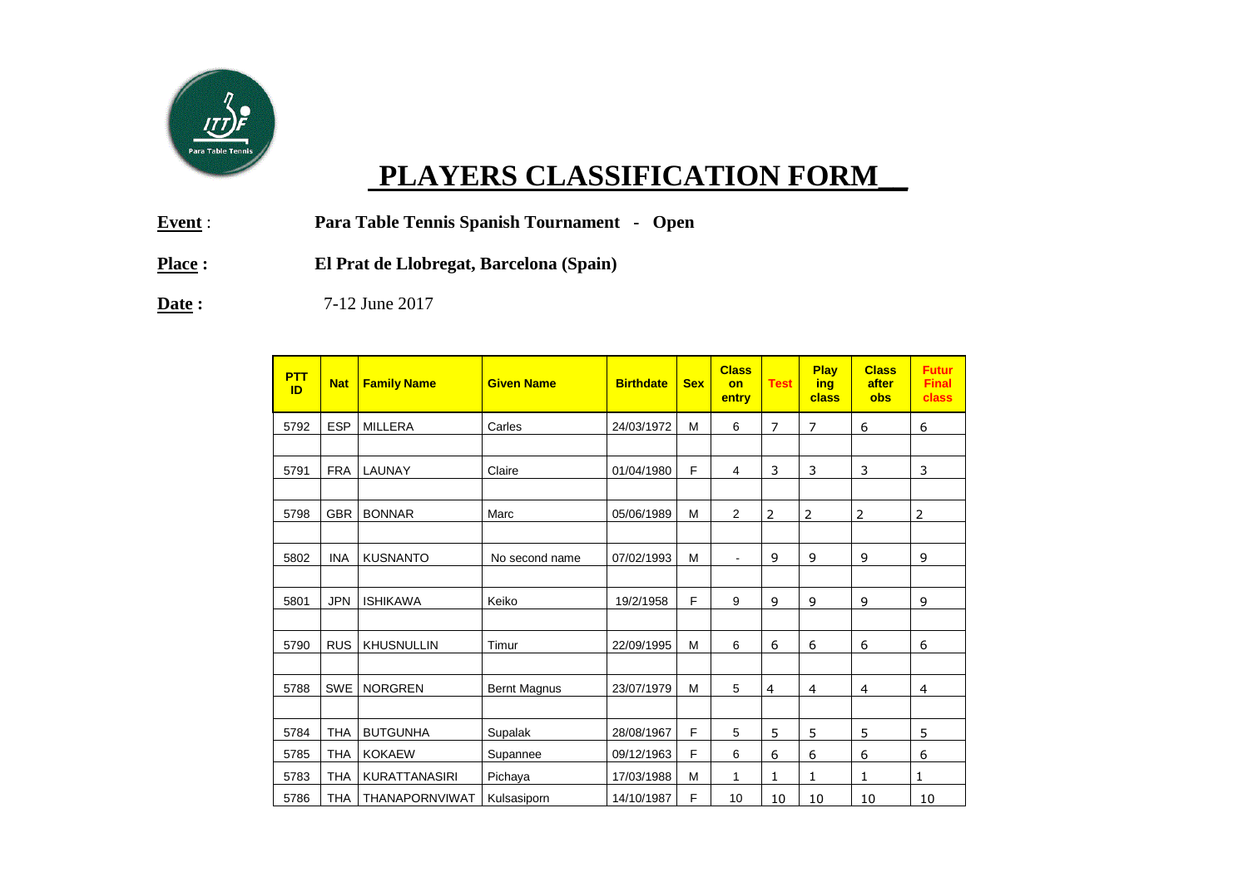

## **PLAYERS CLASSIFICATION FORM\_\_**

- **Event** : **Para Table Tennis Spanish Tournament Open**
- **Place : El Prat de Llobregat, Barcelona (Spain)**

**Date :**  $7-12$  June 2017

| <b>PTT</b><br>ID | <b>Nat</b> | <b>Family Name</b>   | <b>Given Name</b>   | <b>Birthdate</b> | <b>Sex</b> | <b>Class</b><br>on<br>entry | <b>Test</b>    | Play<br>ing<br>class | <b>Class</b><br>after<br>obs | <b>Futur</b><br><b>Final</b><br>class |
|------------------|------------|----------------------|---------------------|------------------|------------|-----------------------------|----------------|----------------------|------------------------------|---------------------------------------|
| 5792             | <b>ESP</b> | <b>MILLERA</b>       | Carles              | 24/03/1972       | М          | 6                           | $\overline{7}$ | $\overline{7}$       | 6                            | 6                                     |
|                  |            |                      |                     |                  |            |                             |                |                      |                              |                                       |
| 5791             | <b>FRA</b> | LAUNAY               | Claire              | 01/04/1980       | F          | 4                           | 3              | 3                    | 3                            | 3                                     |
|                  |            |                      |                     |                  |            |                             |                |                      |                              |                                       |
| 5798             | <b>GBR</b> | <b>BONNAR</b>        | Marc                | 05/06/1989       | M          | 2                           | $\overline{2}$ | $\overline{2}$       | 2                            | $\overline{2}$                        |
|                  |            |                      |                     |                  |            |                             |                |                      |                              |                                       |
| 5802             | <b>INA</b> | <b>KUSNANTO</b>      | No second name      | 07/02/1993       | M          | $\blacksquare$              | 9              | 9                    | 9                            | 9                                     |
|                  |            |                      |                     |                  |            |                             |                |                      |                              |                                       |
| 5801             | <b>JPN</b> | <b>ISHIKAWA</b>      | Keiko               | 19/2/1958        | F          | 9                           | 9              | 9                    | 9                            | 9                                     |
|                  |            |                      |                     |                  |            |                             |                |                      |                              |                                       |
| 5790             | <b>RUS</b> | <b>KHUSNULLIN</b>    | Timur               | 22/09/1995       | M          | 6                           | 6              | 6                    | 6                            | 6                                     |
|                  |            |                      |                     |                  |            |                             |                |                      |                              |                                       |
| 5788             | <b>SWE</b> | <b>NORGREN</b>       | <b>Bernt Magnus</b> | 23/07/1979       | M          | 5                           | $\overline{4}$ | 4                    | 4                            | 4                                     |
|                  |            |                      |                     |                  |            |                             |                |                      |                              |                                       |
| 5784             | <b>THA</b> | <b>BUTGUNHA</b>      | Supalak             | 28/08/1967       | F          | 5                           | 5              | 5                    | 5                            | 5                                     |
| 5785             | <b>THA</b> | <b>KOKAEW</b>        | Supannee            | 09/12/1963       | F          | 6                           | 6              | 6                    | 6                            | 6                                     |
| 5783             | <b>THA</b> | <b>KURATTANASIRI</b> | Pichaya             | 17/03/1988       | М          | 1                           | 1              | 1                    | 1                            | 1                                     |
| 5786             | <b>THA</b> | THANAPORNVIWAT       | Kulsasiporn         | 14/10/1987       | F          | 10                          | 10             | 10                   | 10                           | 10                                    |